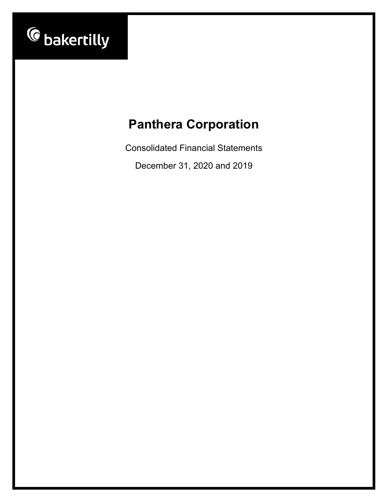

Consolidated Financial Statements

December 31, 2020 and 2019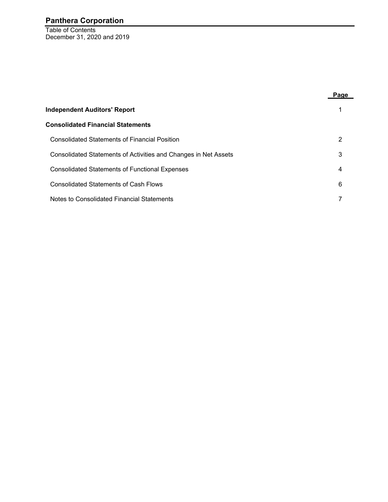Table of Contents December 31, 2020 and 2019

|                                                                 | Page |
|-----------------------------------------------------------------|------|
| <b>Independent Auditors' Report</b>                             |      |
| <b>Consolidated Financial Statements</b>                        |      |
| <b>Consolidated Statements of Financial Position</b>            | 2    |
| Consolidated Statements of Activities and Changes in Net Assets | 3    |
| <b>Consolidated Statements of Functional Expenses</b>           | 4    |
| <b>Consolidated Statements of Cash Flows</b>                    | 6    |
| Notes to Consolidated Financial Statements                      |      |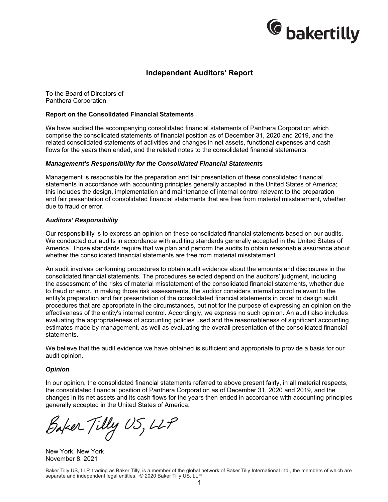

### **Independent Auditors' Report**

To the Board of Directors of Panthera Corporation

#### **Report on the Consolidated Financial Statements**

We have audited the accompanying consolidated financial statements of Panthera Corporation which comprise the consolidated statements of financial position as of December 31, 2020 and 2019, and the related consolidated statements of activities and changes in net assets, functional expenses and cash flows for the years then ended, and the related notes to the consolidated financial statements.

#### *Management's Responsibility for the Consolidated Financial Statements*

Management is responsible for the preparation and fair presentation of these consolidated financial statements in accordance with accounting principles generally accepted in the United States of America; this includes the design, implementation and maintenance of internal control relevant to the preparation and fair presentation of consolidated financial statements that are free from material misstatement, whether due to fraud or error.

#### *Auditors' Responsibility*

Our responsibility is to express an opinion on these consolidated financial statements based on our audits. We conducted our audits in accordance with auditing standards generally accepted in the United States of America. Those standards require that we plan and perform the audits to obtain reasonable assurance about whether the consolidated financial statements are free from material misstatement.

An audit involves performing procedures to obtain audit evidence about the amounts and disclosures in the consolidated financial statements. The procedures selected depend on the auditors' judgment, including the assessment of the risks of material misstatement of the consolidated financial statements, whether due to fraud or error. In making those risk assessments, the auditor considers internal control relevant to the entity's preparation and fair presentation of the consolidated financial statements in order to design audit procedures that are appropriate in the circumstances, but not for the purpose of expressing an opinion on the effectiveness of the entity's internal control. Accordingly, we express no such opinion. An audit also includes evaluating the appropriateness of accounting policies used and the reasonableness of significant accounting estimates made by management, as well as evaluating the overall presentation of the consolidated financial statements.

We believe that the audit evidence we have obtained is sufficient and appropriate to provide a basis for our audit opinion.

#### *Opinion*

In our opinion, the consolidated financial statements referred to above present fairly, in all material respects, the consolidated financial position of Panthera Corporation as of December 31, 2020 and 2019, and the changes in its net assets and its cash flows for the years then ended in accordance with accounting principles generally accepted in the United States of America.

Baker Tilly US, LLP

New York, New York November 8, 2021

Baker Tilly US, LLP, trading as Baker Tilly, is a member of the global network of Baker Tilly International Ltd., the members of which are separate and independent legal entities. © 2020 Baker Tilly US, LLP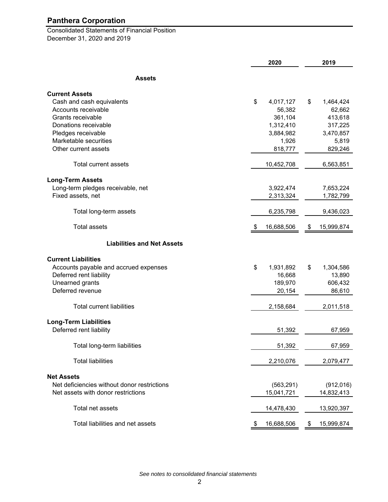Consolidated Statements of Financial Position December 31, 2020 and 2019

|                                             | 2020             | 2019             |
|---------------------------------------------|------------------|------------------|
| <b>Assets</b>                               |                  |                  |
| <b>Current Assets</b>                       |                  |                  |
| Cash and cash equivalents                   | \$<br>4,017,127  | \$<br>1,464,424  |
| Accounts receivable                         | 56,382           | 62,662           |
| Grants receivable                           | 361,104          | 413,618          |
| Donations receivable                        | 1,312,410        | 317,225          |
| Pledges receivable                          | 3,884,982        | 3,470,857        |
| Marketable securities                       | 1,926            | 5,819            |
| Other current assets                        | 818,777          | 829,246          |
| Total current assets                        | 10,452,708       | 6,563,851        |
|                                             |                  |                  |
| <b>Long-Term Assets</b>                     |                  |                  |
| Long-term pledges receivable, net           | 3,922,474        | 7,653,224        |
| Fixed assets, net                           | 2,313,324        | 1,782,799        |
| Total long-term assets                      | 6,235,798        | 9,436,023        |
| <b>Total assets</b>                         | 16,688,506<br>\$ | \$<br>15,999,874 |
| <b>Liabilities and Net Assets</b>           |                  |                  |
| <b>Current Liabilities</b>                  |                  |                  |
| Accounts payable and accrued expenses       | \$<br>1,931,892  | \$<br>1,304,586  |
| Deferred rent liability                     | 16,668           | 13,890           |
| Unearned grants                             | 189,970          | 606,432          |
| Deferred revenue                            |                  |                  |
|                                             | 20,154           | 86,610           |
| <b>Total current liabilities</b>            | 2,158,684        | 2,011,518        |
| <b>Long-Term Liabilities</b>                |                  |                  |
| Deferred rent liability                     | 51,392           | 67,959           |
| Total long-term liabilities                 | 51,392           | 67,959           |
| <b>Total liabilities</b>                    | 2,210,076        | 2,079,477        |
| <b>Net Assets</b>                           |                  |                  |
| Net deficiencies without donor restrictions | (563, 291)       | (912, 016)       |
| Net assets with donor restrictions          | 15,041,721       | 14,832,413       |
| Total net assets                            | 14,478,430       | 13,920,397       |
| Total liabilities and net assets            | 16,688,506       | 15,999,874<br>P. |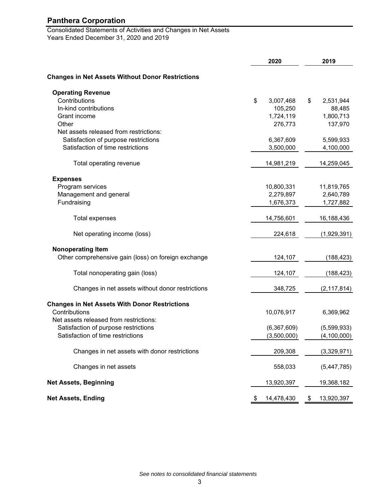Consolidated Statements of Activities and Changes in Net Assets Years Ended December 31, 2020 and 2019

|                                                         | 2020 |             |    | 2019          |
|---------------------------------------------------------|------|-------------|----|---------------|
| <b>Changes in Net Assets Without Donor Restrictions</b> |      |             |    |               |
| <b>Operating Revenue</b>                                |      |             |    |               |
| Contributions                                           | \$   | 3,007,468   | \$ | 2,531,944     |
| In-kind contributions                                   |      | 105,250     |    | 88,485        |
| Grant income                                            |      | 1,724,119   |    | 1,800,713     |
| Other                                                   |      | 276,773     |    | 137,970       |
| Net assets released from restrictions:                  |      |             |    |               |
| Satisfaction of purpose restrictions                    |      | 6,367,609   |    | 5,599,933     |
| Satisfaction of time restrictions                       |      | 3,500,000   |    | 4,100,000     |
| Total operating revenue                                 |      | 14,981,219  |    | 14,259,045    |
| <b>Expenses</b>                                         |      |             |    |               |
| Program services                                        |      | 10,800,331  |    | 11,819,765    |
| Management and general                                  |      | 2,279,897   |    | 2,640,789     |
| Fundraising                                             |      | 1,676,373   |    | 1,727,882     |
|                                                         |      |             |    |               |
| Total expenses                                          |      | 14,756,601  |    | 16,188,436    |
| Net operating income (loss)                             |      | 224,618     |    | (1,929,391)   |
| <b>Nonoperating Item</b>                                |      |             |    |               |
| Other comprehensive gain (loss) on foreign exchange     |      | 124,107     |    | (188, 423)    |
| Total nonoperating gain (loss)                          |      | 124,107     |    | (188, 423)    |
| Changes in net assets without donor restrictions        |      | 348,725     |    | (2, 117, 814) |
| <b>Changes in Net Assets With Donor Restrictions</b>    |      |             |    |               |
| Contributions                                           |      | 10,076,917  |    | 6,369,962     |
| Net assets released from restrictions:                  |      |             |    |               |
| Satisfaction of purpose restrictions                    |      | (6,367,609) |    | (5,599,933)   |
| Satisfaction of time restrictions                       |      | (3,500,000) |    | (4,100,000)   |
| Changes in net assets with donor restrictions           |      | 209,308     |    | (3,329,971)   |
| Changes in net assets                                   |      | 558,033     |    | (5,447,785)   |
| <b>Net Assets, Beginning</b>                            |      | 13,920,397  |    | 19,368,182    |
| <b>Net Assets, Ending</b>                               |      | 14,478,430  | \$ | 13,920,397    |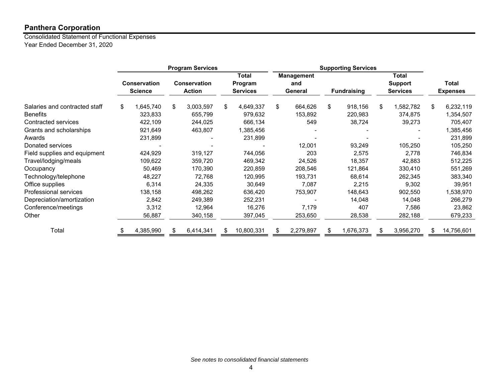Consolidated Statement of Functional Expenses Year Ended December 31, 2020

|                               |                                       | <b>Program Services</b> |                                      |    | <b>Supporting Services</b>                 |    |                                     |    |                    |    |                                            |    |                          |
|-------------------------------|---------------------------------------|-------------------------|--------------------------------------|----|--------------------------------------------|----|-------------------------------------|----|--------------------|----|--------------------------------------------|----|--------------------------|
|                               | <b>Conservation</b><br><b>Science</b> |                         | <b>Conservation</b><br><b>Action</b> |    | <b>Total</b><br>Program<br><b>Services</b> |    | <b>Management</b><br>and<br>General |    | <b>Fundraising</b> |    | Total<br><b>Support</b><br><b>Services</b> |    | Total<br><b>Expenses</b> |
| Salaries and contracted staff | \$<br>1,645,740                       | \$                      | 3,003,597                            | \$ | 4,649,337                                  | \$ | 664,626                             | \$ | 918,156            | \$ | 1,582,782                                  | \$ | 6,232,119                |
| <b>Benefits</b>               | 323,833                               |                         | 655,799                              |    | 979,632                                    |    | 153,892                             |    | 220,983            |    | 374,875                                    |    | 1,354,507                |
| Contracted services           | 422,109                               |                         | 244,025                              |    | 666,134                                    |    | 549                                 |    | 38,724             |    | 39,273                                     |    | 705,407                  |
| Grants and scholarships       | 921,649                               |                         | 463,807                              |    | 1,385,456                                  |    |                                     |    |                    |    |                                            |    | 1,385,456                |
| Awards                        | 231,899                               |                         |                                      |    | 231,899                                    |    |                                     |    |                    |    |                                            |    | 231,899                  |
| Donated services              |                                       |                         |                                      |    |                                            |    | 12,001                              |    | 93,249             |    | 105,250                                    |    | 105,250                  |
| Field supplies and equipment  | 424,929                               |                         | 319,127                              |    | 744,056                                    |    | 203                                 |    | 2,575              |    | 2,778                                      |    | 746,834                  |
| Travel/lodging/meals          | 109,622                               |                         | 359,720                              |    | 469,342                                    |    | 24,526                              |    | 18,357             |    | 42,883                                     |    | 512,225                  |
| Occupancy                     | 50,469                                |                         | 170,390                              |    | 220,859                                    |    | 208,546                             |    | 121,864            |    | 330,410                                    |    | 551,269                  |
| Technology/telephone          | 48,227                                |                         | 72,768                               |    | 120,995                                    |    | 193,731                             |    | 68,614             |    | 262,345                                    |    | 383,340                  |
| Office supplies               | 6,314                                 |                         | 24,335                               |    | 30,649                                     |    | 7,087                               |    | 2,215              |    | 9,302                                      |    | 39,951                   |
| Professional services         | 138,158                               |                         | 498,262                              |    | 636,420                                    |    | 753,907                             |    | 148,643            |    | 902,550                                    |    | 1,538,970                |
| Depreciation/amortization     | 2,842                                 |                         | 249,389                              |    | 252,231                                    |    |                                     |    | 14,048             |    | 14,048                                     |    | 266,279                  |
| Conference/meetings           | 3,312                                 |                         | 12,964                               |    | 16,276                                     |    | 7,179                               |    | 407                |    | 7,586                                      |    | 23,862                   |
| Other                         | 56,887                                |                         | 340,158                              |    | 397,045                                    |    | 253,650                             |    | 28,538             |    | 282,188                                    |    | 679,233                  |
| Total                         | 4,385,990                             |                         | 6,414,341                            | S  | 10,800,331                                 |    | 2,279,897                           | S  | 1,676,373          | \$ | 3,956,270                                  | £. | 14,756,601               |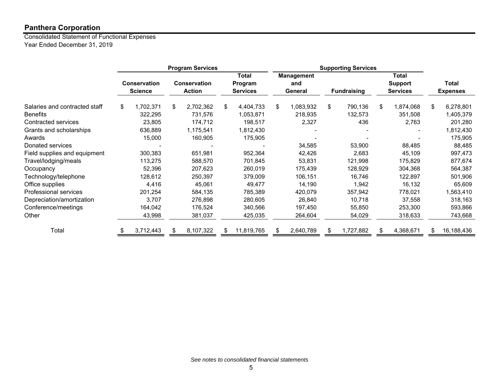Consolidated Statement of Functional Expenses Year Ended December 31, 2019

|                               |                                       |           | <b>Program Services</b> |                                      |    | <b>Supporting Services</b>                 |    |                                     |    |                    |    |                                            |    |                                 |
|-------------------------------|---------------------------------------|-----------|-------------------------|--------------------------------------|----|--------------------------------------------|----|-------------------------------------|----|--------------------|----|--------------------------------------------|----|---------------------------------|
|                               | <b>Conservation</b><br><b>Science</b> |           |                         | <b>Conservation</b><br><b>Action</b> |    | <b>Total</b><br>Program<br><b>Services</b> |    | <b>Management</b><br>and<br>General |    | <b>Fundraising</b> |    | Total<br><b>Support</b><br><b>Services</b> |    | <b>Total</b><br><b>Expenses</b> |
| Salaries and contracted staff | \$                                    | 1,702,371 | \$                      | 2,702,362                            | \$ | 4,404,733                                  | \$ | 1,083,932                           | \$ | 790,136            | \$ | 1,874,068                                  | \$ | 6,278,801                       |
| <b>Benefits</b>               |                                       | 322,295   |                         | 731,576                              |    | 1,053,871                                  |    | 218,935                             |    | 132,573            |    | 351,508                                    |    | 1,405,379                       |
| Contracted services           |                                       | 23,805    |                         | 174,712                              |    | 198,517                                    |    | 2,327                               |    | 436                |    | 2,763                                      |    | 201,280                         |
| Grants and scholarships       |                                       | 636,889   |                         | 1,175,541                            |    | 1,812,430                                  |    |                                     |    |                    |    |                                            |    | 1,812,430                       |
| Awards                        |                                       | 15,000    |                         | 160,905                              |    | 175,905                                    |    |                                     |    |                    |    |                                            |    | 175,905                         |
| Donated services              |                                       |           |                         |                                      |    |                                            |    | 34,585                              |    | 53,900             |    | 88,485                                     |    | 88,485                          |
| Field supplies and equipment  |                                       | 300,383   |                         | 651,981                              |    | 952,364                                    |    | 42,426                              |    | 2,683              |    | 45,109                                     |    | 997,473                         |
| Travel/lodging/meals          |                                       | 113,275   |                         | 588,570                              |    | 701,845                                    |    | 53,831                              |    | 121,998            |    | 175,829                                    |    | 877,674                         |
| Occupancy                     |                                       | 52,396    |                         | 207,623                              |    | 260,019                                    |    | 175,439                             |    | 128,929            |    | 304,368                                    |    | 564,387                         |
| Technology/telephone          |                                       | 128,612   |                         | 250,397                              |    | 379,009                                    |    | 106,151                             |    | 16,746             |    | 122,897                                    |    | 501,906                         |
| Office supplies               |                                       | 4,416     |                         | 45,061                               |    | 49.477                                     |    | 14,190                              |    | 1,942              |    | 16,132                                     |    | 65,609                          |
| Professional services         |                                       | 201,254   |                         | 584,135                              |    | 785,389                                    |    | 420,079                             |    | 357,942            |    | 778,021                                    |    | ,563,410                        |
| Depreciation/amortization     |                                       | 3,707     |                         | 276,898                              |    | 280,605                                    |    | 26,840                              |    | 10,718             |    | 37,558                                     |    | 318,163                         |
| Conference/meetings           |                                       | 164,042   |                         | 176,524                              |    | 340,566                                    |    | 197,450                             |    | 55,850             |    | 253,300                                    |    | 593,866                         |
| Other                         |                                       | 43,998    |                         | 381,037                              |    | 425,035                                    |    | 264,604                             |    | 54,029             |    | 318,633                                    |    | 743,668                         |
| Total                         |                                       | 3,712,443 | S.                      | 8,107,322                            | S  | 11,819,765                                 |    | 2,640,789                           | \$ | 1,727,882          | S  | 4,368,671                                  | S  | 16,188,436                      |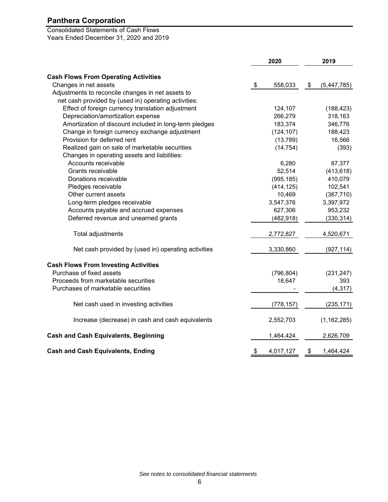Consolidated Statements of Cash Flows Years Ended December 31, 2020 and 2019

|                                                        |                           | 2020       | 2019              |
|--------------------------------------------------------|---------------------------|------------|-------------------|
| <b>Cash Flows From Operating Activities</b>            |                           |            |                   |
| Changes in net assets                                  | $\boldsymbol{\mathsf{S}}$ | 558,033    | \$<br>(5,447,785) |
| Adjustments to reconcile changes in net assets to      |                           |            |                   |
| net cash provided by (used in) operating activities:   |                           |            |                   |
| Effect of foreign currency translation adjustment      |                           | 124,107    | (188, 423)        |
| Depreciation/amortization expense                      |                           | 266,279    | 318,163           |
| Amortization of discount included in long-term pledges |                           | 183,374    | 346,776           |
| Change in foreign currency exchange adjustment         |                           | (124, 107) | 188,423           |
| Provision for deferred rent                            |                           | (13, 789)  | 16,566            |
| Realized gain on sale of marketable securities         |                           | (14, 754)  | (393)             |
| Changes in operating assets and liabilities:           |                           |            |                   |
| Accounts receivable                                    |                           | 6,280      | 87,377            |
| Grants receivable                                      |                           | 52,514     | (413, 618)        |
| Donations receivable                                   |                           | (995, 185) | 410,079           |
| Pledges receivable                                     |                           | (414, 125) | 102,541           |
| Other current assets                                   |                           | 10,469     | (367, 710)        |
| Long-term pledges receivable                           |                           | 3,547,376  | 3,397,972         |
| Accounts payable and accrued expenses                  |                           | 627,306    | 953,232           |
| Deferred revenue and unearned grants                   |                           | (482, 918) | (330, 314)        |
| Total adjustments                                      |                           | 2,772,827  | 4,520,671         |
| Net cash provided by (used in) operating activities    |                           | 3,330,860  | (927, 114)        |
| <b>Cash Flows From Investing Activities</b>            |                           |            |                   |
| Purchase of fixed assets                               |                           | (796, 804) | (231, 247)        |
| Proceeds from marketable securities                    |                           | 18,647     | 393               |
| Purchases of marketable securities                     |                           |            | (4, 317)          |
| Net cash used in investing activities                  |                           | (778, 157) | (235, 171)        |
| Increase (decrease) in cash and cash equivalents       |                           | 2,552,703  | (1, 162, 285)     |
| <b>Cash and Cash Equivalents, Beginning</b>            |                           | 1,464,424  | 2,626,709         |
| <b>Cash and Cash Equivalents, Ending</b>               | \$                        | 4,017,127  | \$<br>1,464,424   |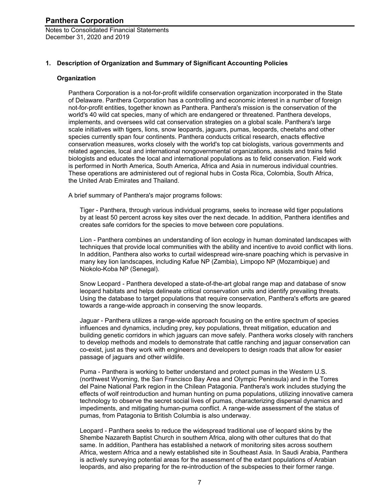Notes to Consolidated Financial Statements December 31, 2020 and 2019

#### **1. Description of Organization and Summary of Significant Accounting Policies**

#### **Organization**

Panthera Corporation is a not-for-profit wildlife conservation organization incorporated in the State of Delaware. Panthera Corporation has a controlling and economic interest in a number of foreign not-for-profit entities, together known as Panthera. Panthera's mission is the conservation of the world's 40 wild cat species, many of which are endangered or threatened. Panthera develops, implements, and oversees wild cat conservation strategies on a global scale. Panthera's large scale initiatives with tigers, lions, snow leopards, jaguars, pumas, leopards, cheetahs and other species currently span four continents. Panthera conducts critical research, enacts effective conservation measures, works closely with the world's top cat biologists, various governments and related agencies, local and international nongovernmental organizations, assists and trains felid biologists and educates the local and international populations as to felid conservation. Field work is performed in North America, South America, Africa and Asia in numerous individual countries. These operations are administered out of regional hubs in Costa Rica, Colombia, South Africa, the United Arab Emirates and Thailand.

A brief summary of Panthera's major programs follows:

Tiger - Panthera, through various individual programs, seeks to increase wild tiger populations by at least 50 percent across key sites over the next decade. In addition, Panthera identifies and creates safe corridors for the species to move between core populations.

Lion - Panthera combines an understanding of lion ecology in human dominated landscapes with techniques that provide local communities with the ability and incentive to avoid conflict with lions. In addition, Panthera also works to curtail widespread wire-snare poaching which is pervasive in many key lion landscapes, including Kafue NP (Zambia), Limpopo NP (Mozambique) and Niokolo-Koba NP (Senegal).

Snow Leopard - Panthera developed a state-of-the-art global range map and database of snow leopard habitats and helps delineate critical conservation units and identify prevailing threats. Using the database to target populations that require conservation, Panthera's efforts are geared towards a range-wide approach in conserving the snow leopards.

Jaguar - Panthera utilizes a range-wide approach focusing on the entire spectrum of species influences and dynamics, including prey, key populations, threat mitigation, education and building genetic corridors in which jaguars can move safely. Panthera works closely with ranchers to develop methods and models to demonstrate that cattle ranching and jaguar conservation can co-exist, just as they work with engineers and developers to design roads that allow for easier passage of jaguars and other wildlife.

Puma - Panthera is working to better understand and protect pumas in the Western U.S. (northwest Wyoming, the San Francisco Bay Area and Olympic Peninsula) and in the Torres del Paine National Park region in the Chilean Patagonia. Panthera's work includes studying the effects of wolf reintroduction and human hunting on puma populations, utilizing innovative camera technology to observe the secret social lives of pumas, characterizing dispersal dynamics and impediments, and mitigating human-puma conflict. A range-wide assessment of the status of pumas, from Patagonia to British Columbia is also underway.

Leopard - Panthera seeks to reduce the widespread traditional use of leopard skins by the Shembe Nazareth Baptist Church in southern Africa, along with other cultures that do that same. In addition, Panthera has established a network of monitoring sites across southern Africa, western Africa and a newly established site in Southeast Asia. In Saudi Arabia, Panthera is actively surveying potential areas for the assessment of the extant populations of Arabian leopards, and also preparing for the re-introduction of the subspecies to their former range.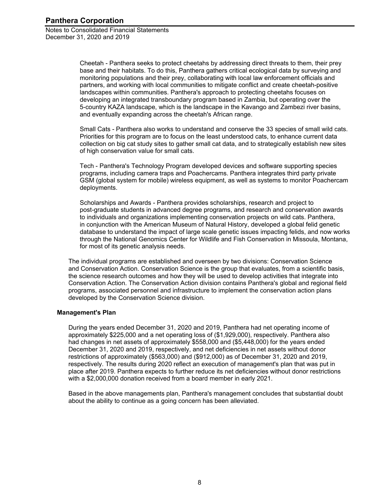> Cheetah - Panthera seeks to protect cheetahs by addressing direct threats to them, their prey base and their habitats. To do this, Panthera gathers critical ecological data by surveying and monitoring populations and their prey, collaborating with local law enforcement officials and partners, and working with local communities to mitigate conflict and create cheetah-positive landscapes within communities. Panthera's approach to protecting cheetahs focuses on developing an integrated transboundary program based in Zambia, but operating over the 5-country KAZA landscape, which is the landscape in the Kavango and Zambezi river basins, and eventually expanding across the cheetah's African range.

Small Cats - Panthera also works to understand and conserve the 33 species of small wild cats. Priorities for this program are to focus on the least understood cats, to enhance current data collection on big cat study sites to gather small cat data, and to strategically establish new sites of high conservation value for small cats.

Tech - Panthera's Technology Program developed devices and software supporting species programs, including camera traps and Poachercams. Panthera integrates third party private GSM (global system for mobile) wireless equipment, as well as systems to monitor Poachercam deployments.

Scholarships and Awards - Panthera provides scholarships, research and project to post-graduate students in advanced degree programs, and research and conservation awards to individuals and organizations implementing conservation projects on wild cats. Panthera, in conjunction with the American Museum of Natural History, developed a global felid genetic database to understand the impact of large scale genetic issues impacting felids, and now works through the National Genomics Center for Wildlife and Fish Conservation in Missoula, Montana, for most of its genetic analysis needs.

The individual programs are established and overseen by two divisions: Conservation Science and Conservation Action. Conservation Science is the group that evaluates, from a scientific basis, the science research outcomes and how they will be used to develop activities that integrate into Conservation Action. The Conservation Action division contains Panthera's global and regional field programs, associated personnel and infrastructure to implement the conservation action plans developed by the Conservation Science division.

#### **Management's Plan**

During the years ended December 31, 2020 and 2019, Panthera had net operating income of approximately \$225,000 and a net operating loss of (\$1,929,000), respectively. Panthera also had changes in net assets of approximately \$558,000 and (\$5,448,000) for the years ended December 31, 2020 and 2019, respectively, and net deficiencies in net assets without donor restrictions of approximately (\$563,000) and (\$912,000) as of December 31, 2020 and 2019, respectively. The results during 2020 reflect an execution of management's plan that was put in place after 2019. Panthera expects to further reduce its net deficiencies without donor restrictions with a \$2,000,000 donation received from a board member in early 2021.

Based in the above managements plan, Panthera's management concludes that substantial doubt about the ability to continue as a going concern has been alleviated.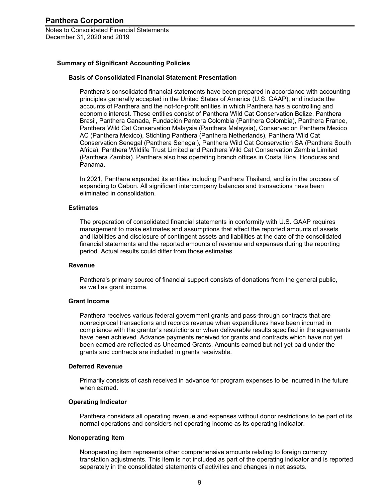#### **Summary of Significant Accounting Policies**

#### **Basis of Consolidated Financial Statement Presentation**

Panthera's consolidated financial statements have been prepared in accordance with accounting principles generally accepted in the United States of America (U.S. GAAP), and include the accounts of Panthera and the not-for-profit entities in which Panthera has a controlling and economic interest. These entities consist of Panthera Wild Cat Conservation Belize, Panthera Brasil, Panthera Canada, Fundación Pantera Colombia (Panthera Colombia), Panthera France, Panthera Wild Cat Conservation Malaysia (Panthera Malaysia), Conservacion Panthera Mexico AC (Panthera Mexico), Stichting Panthera (Panthera Netherlands), Panthera Wild Cat Conservation Senegal (Panthera Senegal), Panthera Wild Cat Conservation SA (Panthera South Africa), Panthera Wildlife Trust Limited and Panthera Wild Cat Conservation Zambia Limited (Panthera Zambia). Panthera also has operating branch offices in Costa Rica, Honduras and Panama.

In 2021, Panthera expanded its entities including Panthera Thailand, and is in the process of expanding to Gabon. All significant intercompany balances and transactions have been eliminated in consolidation.

#### **Estimates**

The preparation of consolidated financial statements in conformity with U.S. GAAP requires management to make estimates and assumptions that affect the reported amounts of assets and liabilities and disclosure of contingent assets and liabilities at the date of the consolidated financial statements and the reported amounts of revenue and expenses during the reporting period. Actual results could differ from those estimates.

#### **Revenue**

Panthera's primary source of financial support consists of donations from the general public, as well as grant income.

#### **Grant Income**

Panthera receives various federal government grants and pass-through contracts that are nonreciprocal transactions and records revenue when expenditures have been incurred in compliance with the grantor's restrictions or when deliverable results specified in the agreements have been achieved. Advance payments received for grants and contracts which have not yet been earned are reflected as Unearned Grants. Amounts earned but not yet paid under the grants and contracts are included in grants receivable.

#### **Deferred Revenue**

Primarily consists of cash received in advance for program expenses to be incurred in the future when earned

#### **Operating Indicator**

Panthera considers all operating revenue and expenses without donor restrictions to be part of its normal operations and considers net operating income as its operating indicator.

#### **Nonoperating Item**

Nonoperating item represents other comprehensive amounts relating to foreign currency translation adjustments. This item is not included as part of the operating indicator and is reported separately in the consolidated statements of activities and changes in net assets.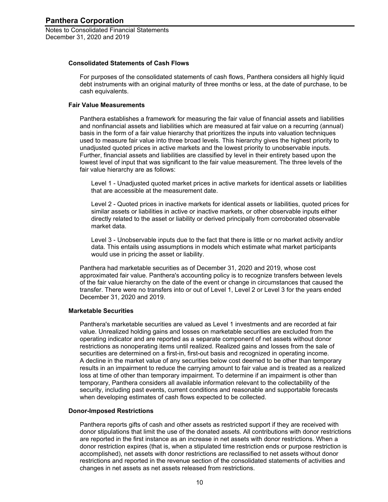#### **Consolidated Statements of Cash Flows**

For purposes of the consolidated statements of cash flows, Panthera considers all highly liquid debt instruments with an original maturity of three months or less, at the date of purchase, to be cash equivalents.

#### **Fair Value Measurements**

Panthera establishes a framework for measuring the fair value of financial assets and liabilities and nonfinancial assets and liabilities which are measured at fair value on a recurring (annual) basis in the form of a fair value hierarchy that prioritizes the inputs into valuation techniques used to measure fair value into three broad levels. This hierarchy gives the highest priority to unadjusted quoted prices in active markets and the lowest priority to unobservable inputs. Further, financial assets and liabilities are classified by level in their entirety based upon the lowest level of input that was significant to the fair value measurement. The three levels of the fair value hierarchy are as follows:

Level 1 - Unadjusted quoted market prices in active markets for identical assets or liabilities that are accessible at the measurement date.

Level 2 - Quoted prices in inactive markets for identical assets or liabilities, quoted prices for similar assets or liabilities in active or inactive markets, or other observable inputs either directly related to the asset or liability or derived principally from corroborated observable market data.

Level 3 - Unobservable inputs due to the fact that there is little or no market activity and/or data. This entails using assumptions in models which estimate what market participants would use in pricing the asset or liability.

Panthera had marketable securities as of December 31, 2020 and 2019, whose cost approximated fair value. Panthera's accounting policy is to recognize transfers between levels of the fair value hierarchy on the date of the event or change in circumstances that caused the transfer. There were no transfers into or out of Level 1, Level 2 or Level 3 for the years ended December 31, 2020 and 2019.

#### **Marketable Securities**

Panthera's marketable securities are valued as Level 1 investments and are recorded at fair value. Unrealized holding gains and losses on marketable securities are excluded from the operating indicator and are reported as a separate component of net assets without donor restrictions as nonoperating items until realized. Realized gains and losses from the sale of securities are determined on a first-in, first-out basis and recognized in operating income. A decline in the market value of any securities below cost deemed to be other than temporary results in an impairment to reduce the carrying amount to fair value and is treated as a realized loss at time of other than temporary impairment. To determine if an impairment is other than temporary, Panthera considers all available information relevant to the collectability of the security, including past events, current conditions and reasonable and supportable forecasts when developing estimates of cash flows expected to be collected.

#### **Donor-Imposed Restrictions**

Panthera reports gifts of cash and other assets as restricted support if they are received with donor stipulations that limit the use of the donated assets. All contributions with donor restrictions are reported in the first instance as an increase in net assets with donor restrictions. When a donor restriction expires (that is, when a stipulated time restriction ends or purpose restriction is accomplished), net assets with donor restrictions are reclassified to net assets without donor restrictions and reported in the revenue section of the consolidated statements of activities and changes in net assets as net assets released from restrictions.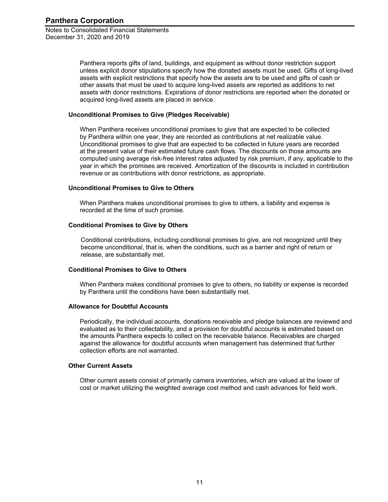> Panthera reports gifts of land, buildings, and equipment as without donor restriction support unless explicit donor stipulations specify how the donated assets must be used. Gifts of long-lived assets with explicit restrictions that specify how the assets are to be used and gifts of cash or other assets that must be used to acquire long-lived assets are reported as additions to net assets with donor restrictions. Expirations of donor restrictions are reported when the donated or acquired long-lived assets are placed in service.

#### **Unconditional Promises to Give (Pledges Receivable)**

When Panthera receives unconditional promises to give that are expected to be collected by Panthera within one year, they are recorded as contributions at net realizable value. Unconditional promises to give that are expected to be collected in future years are recorded at the present value of their estimated future cash flows. The discounts on those amounts are computed using average risk-free interest rates adjusted by risk premium, if any, applicable to the year in which the promises are received. Amortization of the discounts is included in contribution revenue or as contributions with donor restrictions, as appropriate.

#### **Unconditional Promises to Give to Others**

When Panthera makes unconditional promises to give to others, a liability and expense is recorded at the time of such promise.

#### **Conditional Promises to Give by Others**

Conditional contributions, including conditional promises to give, are not recognized until they become unconditional, that is, when the conditions, such as a barrier and right of return or release, are substantially met.

#### **Conditional Promises to Give to Others**

When Panthera makes conditional promises to give to others, no liability or expense is recorded by Panthera until the conditions have been substantially met.

#### **Allowance for Doubtful Accounts**

Periodically, the individual accounts, donations receivable and pledge balances are reviewed and evaluated as to their collectability, and a provision for doubtful accounts is estimated based on the amounts Panthera expects to collect on the receivable balance. Receivables are charged against the allowance for doubtful accounts when management has determined that further collection efforts are not warranted.

#### **Other Current Assets**

Other current assets consist of primarily camera inventories, which are valued at the lower of cost or market utilizing the weighted average cost method and cash advances for field work.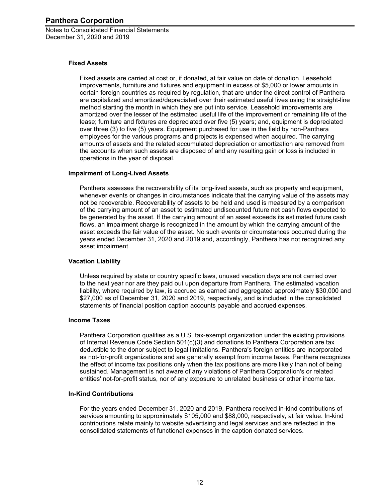Notes to Consolidated Financial Statements December 31, 2020 and 2019

#### **Fixed Assets**

Fixed assets are carried at cost or, if donated, at fair value on date of donation. Leasehold improvements, furniture and fixtures and equipment in excess of \$5,000 or lower amounts in certain foreign countries as required by regulation, that are under the direct control of Panthera are capitalized and amortized/depreciated over their estimated useful lives using the straight-line method starting the month in which they are put into service. Leasehold improvements are amortized over the lesser of the estimated useful life of the improvement or remaining life of the lease; furniture and fixtures are depreciated over five (5) years; and, equipment is depreciated over three (3) to five (5) years. Equipment purchased for use in the field by non-Panthera employees for the various programs and projects is expensed when acquired. The carrying amounts of assets and the related accumulated depreciation or amortization are removed from the accounts when such assets are disposed of and any resulting gain or loss is included in operations in the year of disposal.

#### **Impairment of Long-Lived Assets**

Panthera assesses the recoverability of its long-lived assets, such as property and equipment, whenever events or changes in circumstances indicate that the carrying value of the assets may not be recoverable. Recoverability of assets to be held and used is measured by a comparison of the carrying amount of an asset to estimated undiscounted future net cash flows expected to be generated by the asset. If the carrying amount of an asset exceeds its estimated future cash flows, an impairment charge is recognized in the amount by which the carrying amount of the asset exceeds the fair value of the asset. No such events or circumstances occurred during the years ended December 31, 2020 and 2019 and, accordingly, Panthera has not recognized any asset impairment.

#### **Vacation Liability**

Unless required by state or country specific laws, unused vacation days are not carried over to the next year nor are they paid out upon departure from Panthera. The estimated vacation liability, where required by law, is accrued as earned and aggregated approximately \$30,000 and \$27,000 as of December 31, 2020 and 2019, respectively, and is included in the consolidated statements of financial position caption accounts payable and accrued expenses.

#### **Income Taxes**

Panthera Corporation qualifies as a U.S. tax-exempt organization under the existing provisions of Internal Revenue Code Section 501(c)(3) and donations to Panthera Corporation are tax deductible to the donor subject to legal limitations. Panthera's foreign entities are incorporated as not-for-profit organizations and are generally exempt from income taxes. Panthera recognizes the effect of income tax positions only when the tax positions are more likely than not of being sustained. Management is not aware of any violations of Panthera Corporation's or related entities' not-for-profit status, nor of any exposure to unrelated business or other income tax.

#### **In-Kind Contributions**

For the years ended December 31, 2020 and 2019, Panthera received in-kind contributions of services amounting to approximately \$105,000 and \$88,000, respectively, at fair value. In-kind contributions relate mainly to website advertising and legal services and are reflected in the consolidated statements of functional expenses in the caption donated services.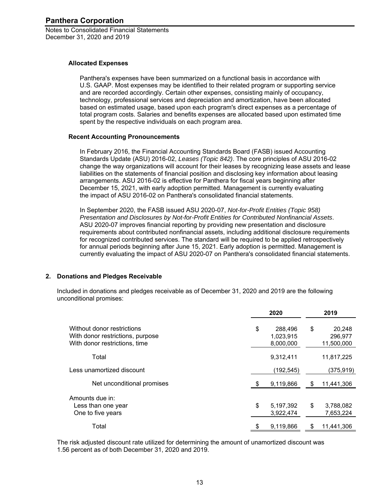#### **Allocated Expenses**

Panthera's expenses have been summarized on a functional basis in accordance with U.S. GAAP. Most expenses may be identified to their related program or supporting service and are recorded accordingly. Certain other expenses, consisting mainly of occupancy, technology, professional services and depreciation and amortization, have been allocated based on estimated usage, based upon each program's direct expenses as a percentage of total program costs. Salaries and benefits expenses are allocated based upon estimated time spent by the respective individuals on each program area.

#### **Recent Accounting Pronouncements**

In February 2016, the Financial Accounting Standards Board (FASB) issued Accounting Standards Update (ASU) 2016-02, *Leases (Topic 842)*. The core principles of ASU 2016-02 change the way organizations will account for their leases by recognizing lease assets and lease liabilities on the statements of financial position and disclosing key information about leasing arrangements. ASU 2016-02 is effective for Panthera for fiscal years beginning after December 15, 2021, with early adoption permitted. Management is currently evaluating the impact of ASU 2016-02 on Panthera's consolidated financial statements.

In September 2020, the FASB issued ASU 2020-07, *Not-for-Profit Entities (Topic 958) Presentation and Disclosures by Not-for-Profit Entities for Contributed Nonfinancial Assets*. ASU 2020-07 improves financial reporting by providing new presentation and disclosure requirements about contributed nonfinancial assets, including additional disclosure requirements for recognized contributed services. The standard will be required to be applied retrospectively for annual periods beginning after June 15, 2021. Early adoption is permitted. Management is currently evaluating the impact of ASU 2020-07 on Panthera's consolidated financial statements.

#### **2. Donations and Pledges Receivable**

Included in donations and pledges receivable as of December 31, 2020 and 2019 are the following unconditional promises:

|                                                                                                 | 2020                                    |    | 2019                            |
|-------------------------------------------------------------------------------------------------|-----------------------------------------|----|---------------------------------|
| Without donor restrictions<br>With donor restrictions, purpose<br>With donor restrictions, time | \$<br>288,496<br>1,023,915<br>8,000,000 | \$ | 20,248<br>296,977<br>11,500,000 |
| Total                                                                                           | 9,312,411                               |    | 11,817,225                      |
| Less unamortized discount                                                                       | (192, 545)                              |    | (375, 919)                      |
| Net unconditional promises                                                                      | 9,119,866                               | S  | 11,441,306                      |
| Amounts due in:<br>Less than one year<br>One to five years                                      | \$<br>5,197,392<br>3,922,474            | \$ | 3,788,082<br>7,653,224          |
| Total                                                                                           | 9,119,866                               |    | 11,441,306                      |

The risk adjusted discount rate utilized for determining the amount of unamortized discount was 1.56 percent as of both December 31, 2020 and 2019.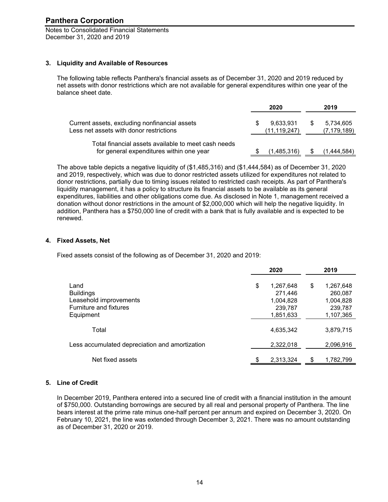Notes to Consolidated Financial Statements December 31, 2020 and 2019

#### **3. Liquidity and Available of Resources**

The following table reflects Panthera's financial assets as of December 31, 2020 and 2019 reduced by net assets with donor restrictions which are not available for general expenditures within one year of the balance sheet date.

|                                                                                                 | 2020                        | 2019                       |
|-------------------------------------------------------------------------------------------------|-----------------------------|----------------------------|
| Current assets, excluding nonfinancial assets<br>Less net assets with donor restrictions        | 9,633,931<br>(11, 119, 247) | 5,734,605<br>(7, 179, 189) |
| Total financial assets available to meet cash needs<br>for general expenditures within one year | (1,485,316)                 | (1,444,584)                |

The above table depicts a negative liquidity of (\$1,485,316) and (\$1,444,584) as of December 31, 2020 and 2019, respectively, which was due to donor restricted assets utilized for expenditures not related to donor restrictions, partially due to timing issues related to restricted cash receipts. As part of Panthera's liquidity management, it has a policy to structure its financial assets to be available as its general expenditures, liabilities and other obligations come due. As disclosed in Note 1, management received a donation without donor restrictions in the amount of \$2,000,000 which will help the negative liquidity. In addition, Panthera has a \$750,000 line of credit with a bank that is fully available and is expected to be renewed.

#### **4. Fixed Assets, Net**

Fixed assets consist of the following as of December 31, 2020 and 2019:

|                                                | 2020            | 2019            |
|------------------------------------------------|-----------------|-----------------|
| Land                                           | \$<br>1,267,648 | \$<br>1,267,648 |
| <b>Buildings</b>                               | 271,446         | 260,087         |
| Leasehold improvements                         | 1,004,828       | 1,004,828       |
| <b>Furniture and fixtures</b>                  | 239,787         | 239,787         |
| Equipment                                      | 1,851,633       | 1,107,365       |
| Total                                          | 4,635,342       | 3,879,715       |
| Less accumulated depreciation and amortization | 2,322,018       | 2,096,916       |
| Net fixed assets                               | \$<br>2,313,324 | 1,782,799       |

#### **5. Line of Credit**

In December 2019, Panthera entered into a secured line of credit with a financial institution in the amount of \$750,000. Outstanding borrowings are secured by all real and personal property of Panthera. The line bears interest at the prime rate minus one-half percent per annum and expired on December 3, 2020. On February 10, 2021, the line was extended through December 3, 2021. There was no amount outstanding as of December 31, 2020 or 2019.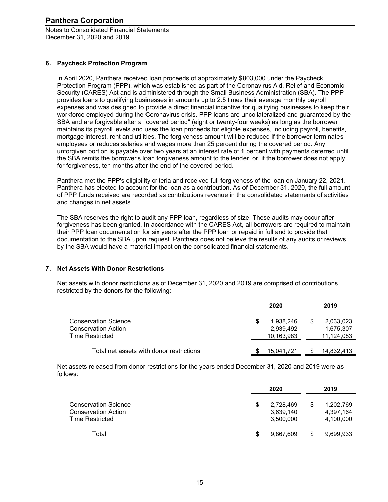Notes to Consolidated Financial Statements December 31, 2020 and 2019

#### **6. Paycheck Protection Program**

In April 2020, Panthera received loan proceeds of approximately \$803,000 under the Paycheck Protection Program (PPP), which was established as part of the Coronavirus Aid, Relief and Economic Security (CARES) Act and is administered through the Small Business Administration (SBA). The PPP provides loans to qualifying businesses in amounts up to 2.5 times their average monthly payroll expenses and was designed to provide a direct financial incentive for qualifying businesses to keep their workforce employed during the Coronavirus crisis. PPP loans are uncollateralized and guaranteed by the SBA and are forgivable after a "covered period" (eight or twenty-four weeks) as long as the borrower maintains its payroll levels and uses the loan proceeds for eligible expenses, including payroll, benefits, mortgage interest, rent and utilities. The forgiveness amount will be reduced if the borrower terminates employees or reduces salaries and wages more than 25 percent during the covered period. Any unforgiven portion is payable over two years at an interest rate of 1 percent with payments deferred until the SBA remits the borrower's loan forgiveness amount to the lender, or, if the borrower does not apply for forgiveness, ten months after the end of the covered period.

Panthera met the PPP's eligibility criteria and received full forgiveness of the loan on January 22, 2021. Panthera has elected to account for the loan as a contribution. As of December 31, 2020, the full amount of PPP funds received are recorded as contributions revenue in the consolidated statements of activities and changes in net assets.

The SBA reserves the right to audit any PPP loan, regardless of size. These audits may occur after forgiveness has been granted. In accordance with the CARES Act, all borrowers are required to maintain their PPP loan documentation for six years after the PPP loan or repaid in full and to provide that documentation to the SBA upon request. Panthera does not believe the results of any audits or reviews by the SBA would have a material impact on the consolidated financial statements.

#### **7. Net Assets With Donor Restrictions**

Net assets with donor restrictions as of December 31, 2020 and 2019 are comprised of contributions restricted by the donors for the following:

|                                          | 2020       |   | 2019       |
|------------------------------------------|------------|---|------------|
| <b>Conservation Science</b>              | 1.938.246  | S | 2,033,023  |
| <b>Conservation Action</b>               | 2,939,492  |   | 1,675,307  |
| Time Restricted                          | 10,163,983 |   | 11,124,083 |
| Total net assets with donor restrictions | 15,041,721 |   | 14,832,413 |

Net assets released from donor restrictions for the years ended December 31, 2020 and 2019 were as follows:

|                                                                              | 2020                                | 2019                                |
|------------------------------------------------------------------------------|-------------------------------------|-------------------------------------|
| <b>Conservation Science</b><br><b>Conservation Action</b><br>Time Restricted | 2,728,469<br>3,639,140<br>3,500,000 | 1,202,769<br>4,397,164<br>4,100,000 |
| Total                                                                        | 9,867,609                           | 9,699,933                           |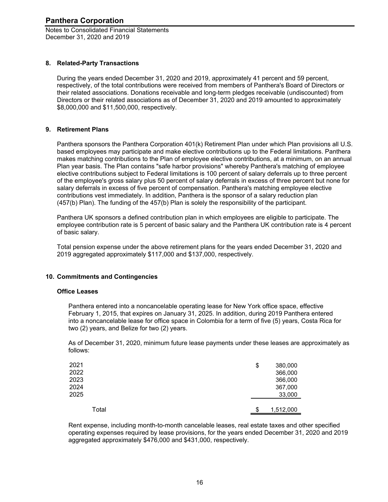Notes to Consolidated Financial Statements December 31, 2020 and 2019

#### **8. Related-Party Transactions**

During the years ended December 31, 2020 and 2019, approximately 41 percent and 59 percent, respectively, of the total contributions were received from members of Panthera's Board of Directors or their related associations. Donations receivable and long-term pledges receivable (undiscounted) from Directors or their related associations as of December 31, 2020 and 2019 amounted to approximately \$8,000,000 and \$11,500,000, respectively.

#### **9. Retirement Plans**

Panthera sponsors the Panthera Corporation 401(k) Retirement Plan under which Plan provisions all U.S. based employees may participate and make elective contributions up to the Federal limitations. Panthera makes matching contributions to the Plan of employee elective contributions, at a minimum, on an annual Plan year basis. The Plan contains "safe harbor provisions" whereby Panthera's matching of employee elective contributions subject to Federal limitations is 100 percent of salary deferrals up to three percent of the employee's gross salary plus 50 percent of salary deferrals in excess of three percent but none for salary deferrals in excess of five percent of compensation. Panthera's matching employee elective contributions vest immediately. In addition, Panthera is the sponsor of a salary reduction plan (457(b) Plan). The funding of the 457(b) Plan is solely the responsibility of the participant.

Panthera UK sponsors a defined contribution plan in which employees are eligible to participate. The employee contribution rate is 5 percent of basic salary and the Panthera UK contribution rate is 4 percent of basic salary.

Total pension expense under the above retirement plans for the years ended December 31, 2020 and 2019 aggregated approximately \$117,000 and \$137,000, respectively.

#### **10. Commitments and Contingencies**

#### **Office Leases**

Panthera entered into a noncancelable operating lease for New York office space, effective February 1, 2015, that expires on January 31, 2025. In addition, during 2019 Panthera entered into a noncancelable lease for office space in Colombia for a term of five (5) years, Costa Rica for two (2) years, and Belize for two (2) years.

As of December 31, 2020, minimum future lease payments under these leases are approximately as follows:

| 2021<br>2022<br>2023<br>2024<br>2025 |       | \$<br>380,000<br>366,000<br>366,000<br>367,000<br>33,000 |
|--------------------------------------|-------|----------------------------------------------------------|
|                                      | Total | \$<br>1,512,000                                          |

Rent expense, including month-to-month cancelable leases, real estate taxes and other specified operating expenses required by lease provisions, for the years ended December 31, 2020 and 2019 aggregated approximately \$476,000 and \$431,000, respectively.